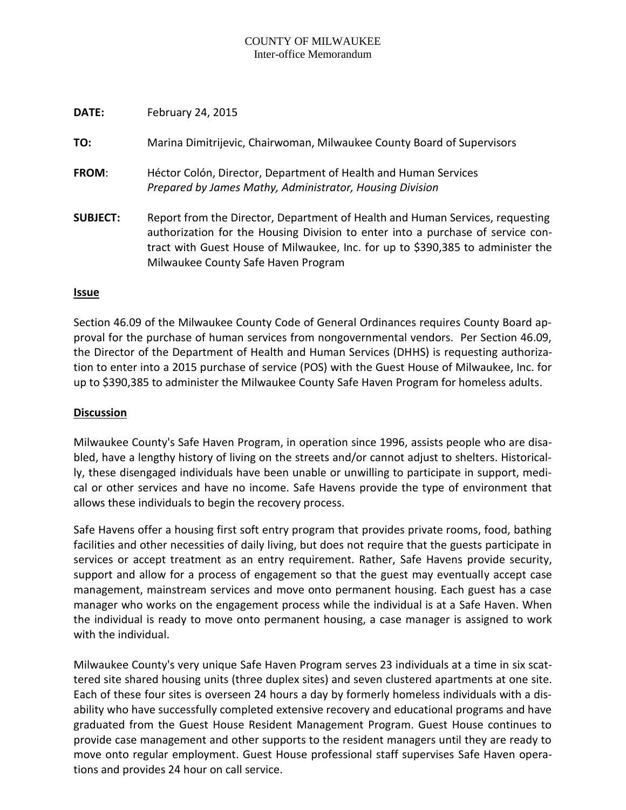### COUNTY OF MILWAUKEE Inter-office Memorandum

| DATE:           | February 24, 2015                                                                                                                                                                                                                                                                          |
|-----------------|--------------------------------------------------------------------------------------------------------------------------------------------------------------------------------------------------------------------------------------------------------------------------------------------|
| TO:             | Marina Dimitrijevic, Chairwoman, Milwaukee County Board of Supervisors                                                                                                                                                                                                                     |
| FROM:           | Héctor Colón, Director, Department of Health and Human Services<br>Prepared by James Mathy, Administrator, Housing Division                                                                                                                                                                |
| <b>SUBJECT:</b> | Report from the Director, Department of Health and Human Services, requesting<br>authorization for the Housing Division to enter into a purchase of service con-<br>tract with Guest House of Milwaukee, Inc. for up to \$390,385 to administer the<br>Milwaukee County Safe Haven Program |

# **Issue**

Section 46.09 of the Milwaukee County Code of General Ordinances requires County Board approval for the purchase of human services from nongovernmental vendors. Per Section 46.09, the Director of the Department of Health and Human Services (DHHS) is requesting authorization to enter into a 2015 purchase of service (POS) with the Guest House of Milwaukee, Inc. for up to \$390,385 to administer the Milwaukee County Safe Haven Program for homeless adults.

# **Discussion**

Milwaukee County's Safe Haven Program, in operation since 1996, assists people who are disabled, have a lengthy history of living on the streets and/or cannot adjust to shelters. Historically, these disengaged individuals have been unable or unwilling to participate in support, medical or other services and have no income. Safe Havens provide the type of environment that allows these individuals to begin the recovery process.

Safe Havens offer a housing first soft entry program that provides private rooms, food, bathing facilities and other necessities of daily living, but does not require that the guests participate in services or accept treatment as an entry requirement. Rather, Safe Havens provide security, support and allow for a process of engagement so that the guest may eventually accept case management, mainstream services and move onto permanent housing. Each guest has a case manager who works on the engagement process while the individual is at a Safe Haven. When the individual is ready to move onto permanent housing, a case manager is assigned to work with the individual.

Milwaukee County's very unique Safe Haven Program serves 23 individuals at a time in six scattered site shared housing units (three duplex sites) and seven clustered apartments at one site. Each of these four sites is overseen 24 hours a day by formerly homeless individuals with a disability who have successfully completed extensive recovery and educational programs and have graduated from the Guest House Resident Management Program. Guest House continues to provide case management and other supports to the resident managers until they are ready to move onto regular employment. Guest House professional staff supervises Safe Haven operations and provides 24 hour on call service.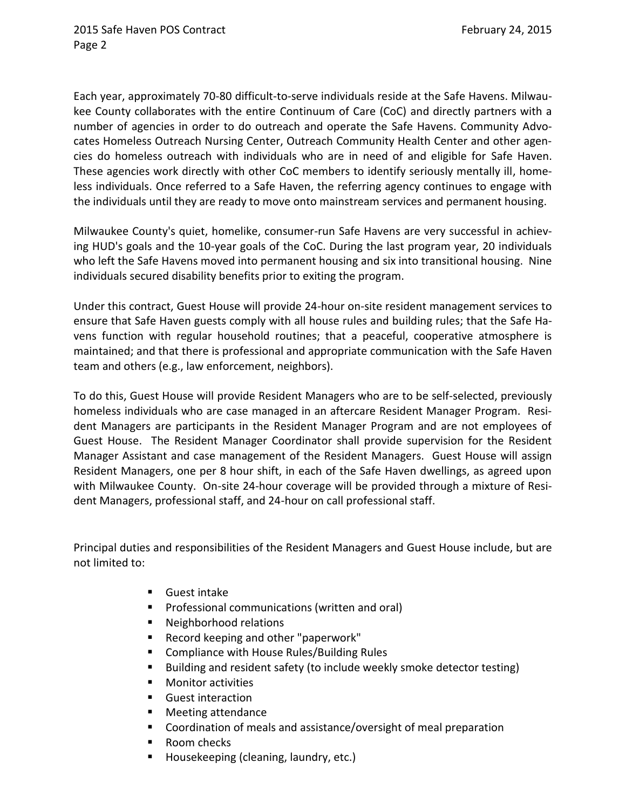Each year, approximately 70-80 difficult-to-serve individuals reside at the Safe Havens. Milwaukee County collaborates with the entire Continuum of Care (CoC) and directly partners with a number of agencies in order to do outreach and operate the Safe Havens. Community Advocates Homeless Outreach Nursing Center, Outreach Community Health Center and other agencies do homeless outreach with individuals who are in need of and eligible for Safe Haven. These agencies work directly with other CoC members to identify seriously mentally ill, homeless individuals. Once referred to a Safe Haven, the referring agency continues to engage with the individuals until they are ready to move onto mainstream services and permanent housing.

Milwaukee County's quiet, homelike, consumer-run Safe Havens are very successful in achieving HUD's goals and the 10-year goals of the CoC. During the last program year, 20 individuals who left the Safe Havens moved into permanent housing and six into transitional housing. Nine individuals secured disability benefits prior to exiting the program.

Under this contract, Guest House will provide 24-hour on-site resident management services to ensure that Safe Haven guests comply with all house rules and building rules; that the Safe Havens function with regular household routines; that a peaceful, cooperative atmosphere is maintained; and that there is professional and appropriate communication with the Safe Haven team and others (e.g., law enforcement, neighbors).

To do this, Guest House will provide Resident Managers who are to be self-selected, previously homeless individuals who are case managed in an aftercare Resident Manager Program. Resident Managers are participants in the Resident Manager Program and are not employees of Guest House. The Resident Manager Coordinator shall provide supervision for the Resident Manager Assistant and case management of the Resident Managers. Guest House will assign Resident Managers, one per 8 hour shift, in each of the Safe Haven dwellings, as agreed upon with Milwaukee County. On-site 24-hour coverage will be provided through a mixture of Resident Managers, professional staff, and 24-hour on call professional staff.

Principal duties and responsibilities of the Resident Managers and Guest House include, but are not limited to:

- Guest intake
- **Professional communications (written and oral)**
- Neighborhood relations
- Record keeping and other "paperwork"
- **EXECOMPLE COMPLIANCE With House Rules/Building Rules**
- Building and resident safety (to include weekly smoke detector testing)
- **Monitor activities**
- **Guest interaction**
- Meeting attendance
- Coordination of meals and assistance/oversight of meal preparation
- Room checks
- Housekeeping (cleaning, laundry, etc.)